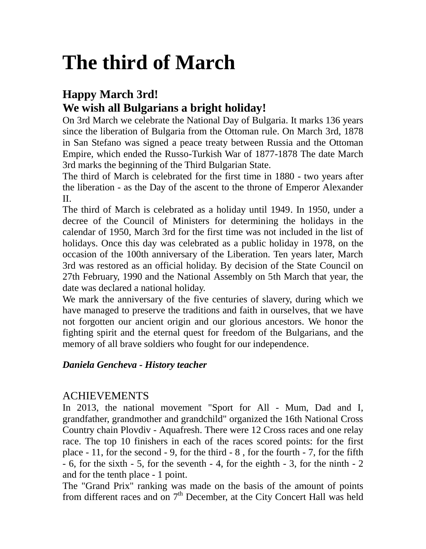# **The third of March**

# **Happy March 3rd! We wish all Bulgarians a bright holiday!**

On 3rd March we celebrate the National Day of Bulgaria. It marks 136 years since the liberation of Bulgaria from the Ottoman rule. On March 3rd, 1878 in San Stefano was signed a peace treaty between Russia and the Ottoman Empire, which ended the Russo-Turkish War of 1877-1878 The date March 3rd marks the beginning of the Third Bulgarian State.

The third of March is celebrated for the first time in 1880 - two years after the liberation - as the Day of the ascent to the throne of Emperor Alexander II.

The third of March is celebrated as a holiday until 1949. In 1950, under a decree of the Council of Ministers for determining the holidays in the calendar of 1950, March 3rd for the first time was not included in the list of holidays. Once this day was celebrated as a public holiday in 1978, on the occasion of the 100th anniversary of the Liberation. Ten years later, March 3rd was restored as an official holiday. By decision of the State Council on 27th February, 1990 and the National Assembly on 5th March that year, the date was declared a national holiday.

We mark the anniversary of the five centuries of slavery, during which we have managed to preserve the traditions and faith in ourselves, that we have not forgotten our ancient origin and our glorious ancestors. We honor the fighting spirit and the eternal quest for freedom of the Bulgarians, and the memory of all brave soldiers who fought for our independence.

# *Daniela Gencheva - History teacher*

# ACHIEVEMENTS

In 2013, the national movement "Sport for All - Mum, Dad and I, grandfather, grandmother and grandchild" organized the 16th National Cross Country chain Plovdiv - Aquafresh. There were 12 Cross races and one relay race. The top 10 finishers in each of the races scored points: for the first place - 11, for the second - 9, for the third - 8 , for the fourth - 7, for the fifth - 6, for the sixth - 5, for the seventh - 4, for the eighth - 3, for the ninth - 2 and for the tenth place - 1 point.

The "Grand Prix" ranking was made on the basis of the amount of points from different races and on  $7<sup>th</sup>$  December, at the City Concert Hall was held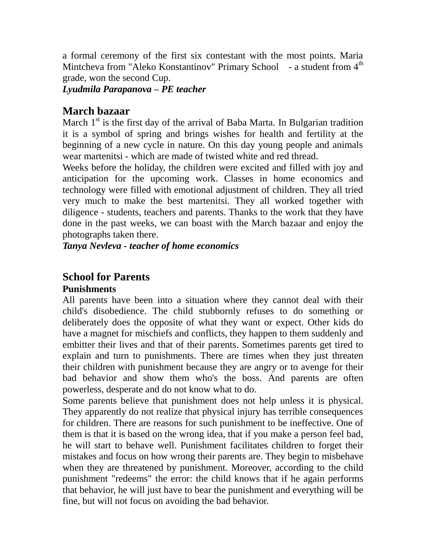a formal ceremony of the first six contestant with the most points. Maria Mintcheva from "Aleko Konstantinov" Primary School - a student from 4<sup>th</sup> grade, won the second Cup.

#### *Lyudmila Parapanova – PE teacher*

## **March bazaar**

March  $1<sup>st</sup>$  is the first day of the arrival of Baba Marta. In Bulgarian tradition it is a symbol of spring and brings wishes for health and fertility at the beginning of a new cycle in nature. On this day young people and animals wear martenitsi - which are made of twisted white and red thread.

Weeks before the holiday, the children were excited and filled with joy and anticipation for the upcoming work. Classes in home economics and technology were filled with emotional adjustment of children. They all tried very much to make the best martenitsi. They all worked together with diligence - students, teachers and parents. Thanks to the work that they have done in the past weeks, we can boast with the March bazaar and enjoy the photographs taken there.

*Tanya Nevleva - teacher of home economics*

# **School for Parents**

#### **Punishments**

All parents have been into a situation where they cannot deal with their child's disobedience. The child stubbornly refuses to do something or deliberately does the opposite of what they want or expect. Other kids do have a magnet for mischiefs and conflicts, they happen to them suddenly and embitter their lives and that of their parents. Sometimes parents get tired to explain and turn to punishments. There are times when they just threaten their children with punishment because they are angry or to avenge for their bad behavior and show them who's the boss. And parents are often powerless, desperate and do not know what to do.

Some parents believe that punishment does not help unless it is physical. They apparently do not realize that physical injury has terrible consequences for children. There are reasons for such punishment to be ineffective. One of them is that it is based on the wrong idea, that if you make a person feel bad, he will start to behave well. Punishment facilitates children to forget their mistakes and focus on how wrong their parents are. They begin to misbehave when they are threatened by punishment. Moreover, according to the child punishment "redeems" the error: the child knows that if he again performs that behavior, he will just have to bear the punishment and everything will be fine, but will not focus on avoiding the bad behavior.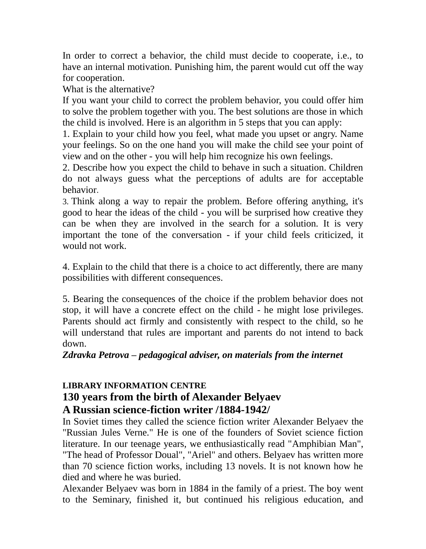In order to correct a behavior, the child must decide to cooperate, i.e., to have an internal motivation. Punishing him, the parent would cut off the way for cooperation.

What is the alternative?

If you want your child to correct the problem behavior, you could offer him to solve the problem together with you. The best solutions are those in which the child is involved. Here is an algorithm in 5 steps that you can apply:

1. Explain to your child how you feel, what made you upset or angry. Name your feelings. So on the one hand you will make the child see your point of view and on the other - you will help him recognize his own feelings.

2. Describe how you expect the child to behave in such a situation. Children do not always guess what the perceptions of adults are for acceptable behavior.

3. Think along a way to repair the problem. Before offering anything, it's good to hear the ideas of the child - you will be surprised how creative they can be when they are involved in the search for a solution. It is very important the tone of the conversation - if your child feels criticized, it would not work.

4. Explain to the child that there is a choice to act differently, there are many possibilities with different consequences.

5. Bearing the consequences of the choice if the problem behavior does not stop, it will have a concrete effect on the child - he might lose privileges. Parents should act firmly and consistently with respect to the child, so he will understand that rules are important and parents do not intend to back down.

#### *Zdravka Petrova – pedagogical adviser, on materials from the internet*

## **LIBRARY INFORMATION CENTRE**

## **130 years from the birth of Alexander Belyaev A Russian science-fiction writer /1884-1942/**

In Soviet times they called the science fiction writer Alexander Belyaev the "Russian Jules Verne." He is one of the founders of Soviet science fiction literature. In our teenage years, we enthusiastically read "Amphibian Man", "The head of Professor Doual", "Ariel" and others. Belyaev has written more than 70 science fiction works, including 13 novels. It is not known how he died and where he was buried.

Alexander Belyaev was born in 1884 in the family of a priest. The boy went to the Seminary, finished it, but continued his religious education, and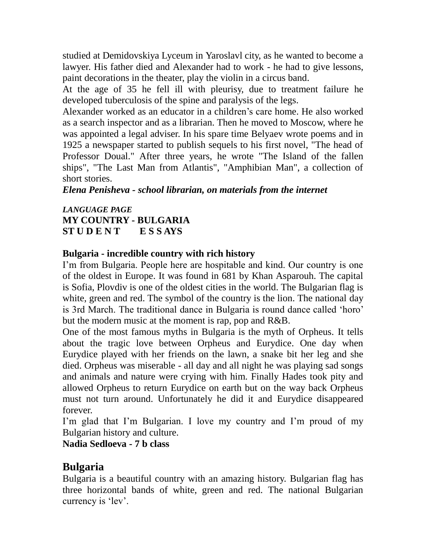studied at Demidovskiya Lyceum in Yaroslavl city, as he wanted to become a lawyer. His father died and Alexander had to work - he had to give lessons, paint decorations in the theater, play the violin in a circus band.

At the age of 35 he fell ill with pleurisy, due to treatment failure he developed tuberculosis of the spine and paralysis of the legs.

Alexander worked as an educator in a children's care home. He also worked as a search inspector and as a librarian. Then he moved to Moscow, where he was appointed a legal adviser. In his spare time Belyaev wrote poems and in 1925 a newspaper started to publish sequels to his first novel, "The head of Professor Doual." After three years, he wrote "The Island of the fallen ships", "The Last Man from Atlantis", "Amphibian Man", a collection of short stories.

*Elena Penisheva - school librarian, on materials from the internet*

#### *LANGUAGE PAGE* **MY COUNTRY - BULGARIA ST U D E N T E S S AYS**

#### **Bulgaria - incredible country with rich history**

I'm from Bulgaria. People here are hospitable and kind. Our country is one of the oldest in Europe. It was found in 681 by Khan Asparouh. The capital is Sofia, Plovdiv is one of the oldest cities in the world. The Bulgarian flag is white, green and red. The symbol of the country is the lion. The national day is 3rd March. The traditional dance in Bulgaria is round dance called 'horo' but the modern music at the moment is rap, pop and R&B.

One of the most famous myths in Bulgaria is the myth of Orpheus. It tells about the tragic love between Orpheus and Eurydice. One day when Eurydice played with her friends on the lawn, a snake bit her leg and she died. Orpheus was miserable - all day and all night he was playing sad songs and animals and nature were crying with him. Finally Hades took pity and allowed Orpheus to return Eurydice on earth but on the way back Orpheus must not turn around. Unfortunately he did it and Eurydice disappeared forever.

I'm glad that I'm Bulgarian. I love my country and I'm proud of my Bulgarian history and culture.

**Nadia Sedloeva - 7 b class**

# **Bulgaria**

Bulgaria is a beautiful country with an amazing history. Bulgarian flag has three horizontal bands of white, green and red. The national Bulgarian currency is 'lev'.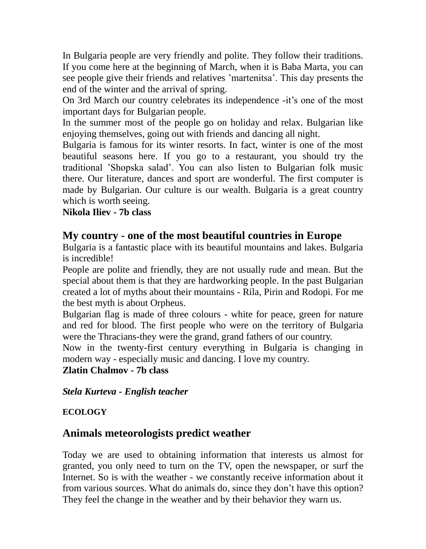In Bulgaria people are very friendly and polite. They follow their traditions. If you come here at the beginning of March, when it is Baba Marta, you can see people give their friends and relatives 'martenitsa'. This day presents the end of the winter and the arrival of spring.

On 3rd March our country celebrates its independence -it's one of the most important days for Bulgarian people.

In the summer most of the people go on holiday and relax. Bulgarian like enjoying themselves, going out with friends and dancing all night.

Bulgaria is famous for its winter resorts. In fact, winter is one of the most beautiful seasons here. If you go to a restaurant, you should try the traditional 'Shopska salad'. You can also listen to Bulgarian folk music there. Our literature, dances and sport are wonderful. The first computer is made by Bulgarian. Our culture is our wealth. Bulgaria is a great country which is worth seeing.

**Nikola Iliev - 7b class**

# **My country - one of the most beautiful countries in Europe**

Bulgaria is a fantastic place with its beautiful mountains and lakes. Bulgaria is incredible!

People are polite and friendly, they are not usually rude and mean. But the special about them is that they are hardworking people. In the past Bulgarian created a lot of myths about their mountains - Rila, Pirin and Rodopi. For me the best myth is about Orpheus.

Bulgarian flag is made of three colours - white for peace, green for nature and red for blood. The first people who were on the territory of Bulgaria were the Thracians-they were the grand, grand fathers of our country.

Now in the twenty-first century everything in Bulgaria is changing in modern way - especially music and dancing. I love my country.

**Zlatin Chalmov - 7b class**

*Stela Kurteva - English teacher*

#### **ECOLOGY**

# **Animals meteorologists predict weather**

Today we are used to obtaining information that interests us almost for granted, you only need to turn on the TV, open the newspaper, or surf the Internet. So is with the weather - we constantly receive information about it from various sources. What do animals do, since they don't have this option? They feel the change in the weather and by their behavior they warn us.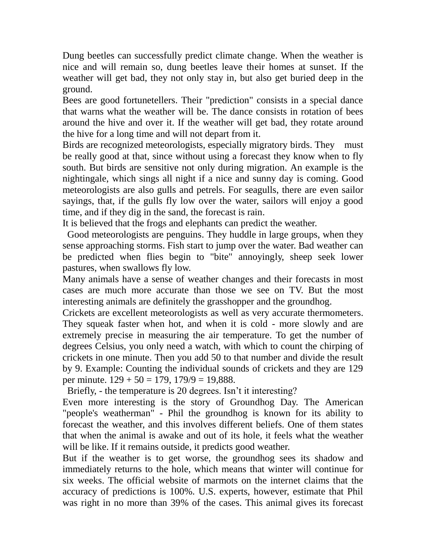Dung beetles can successfully predict climate change. When the weather is nice and will remain so, dung beetles leave their homes at sunset. If the weather will get bad, they not only stay in, but also get buried deep in the ground.

Bees are good fortunetellers. Their "prediction" consists in a special dance that warns what the weather will be. The dance consists in rotation of bees around the hive and over it. If the weather will get bad, they rotate around the hive for a long time and will not depart from it.

Birds are recognized meteorologists, especially migratory birds. They must be really good at that, since without using a forecast they know when to fly south. But birds are sensitive not only during migration. An example is the nightingale, which sings all night if a nice and sunny day is coming. Good meteorologists are also gulls and petrels. For seagulls, there are even sailor sayings, that, if the gulls fly low over the water, sailors will enjoy a good time, and if they dig in the sand, the forecast is rain.

It is believed that the frogs and elephants can predict the weather.

Good meteorologists are penguins. They huddle in large groups, when they sense approaching storms. Fish start to jump over the water. Bad weather can be predicted when flies begin to "bite" annoyingly, sheep seek lower pastures, when swallows fly low.

Many animals have a sense of weather changes and their forecasts in most cases are much more accurate than those we see on TV. But the most interesting animals are definitely the grasshopper and the groundhog.

Crickets are excellent meteorologists as well as very accurate thermometers. They squeak faster when hot, and when it is cold - more slowly and are extremely precise in measuring the air temperature. To get the number of degrees Celsius, you only need a watch, with which to count the chirping of crickets in one minute. Then you add 50 to that number and divide the result by 9. Example: Counting the individual sounds of crickets and they are 129 per minute.  $129 + 50 = 179$ ,  $179/9 = 19,888$ .

Briefly, - the temperature is 20 degrees. Isn't it interesting?

Even more interesting is the story of Groundhog Day. The American "people's weatherman" - Phil the groundhog is known for its ability to forecast the weather, and this involves different beliefs. One of them states that when the animal is awake and out of its hole, it feels what the weather will be like. If it remains outside, it predicts good weather.

But if the weather is to get worse, the groundhog sees its shadow and immediately returns to the hole, which means that winter will continue for six weeks. The official website of marmots on the internet claims that the accuracy of predictions is 100%. U.S. experts, however, estimate that Phil was right in no more than 39% of the cases. This animal gives its forecast